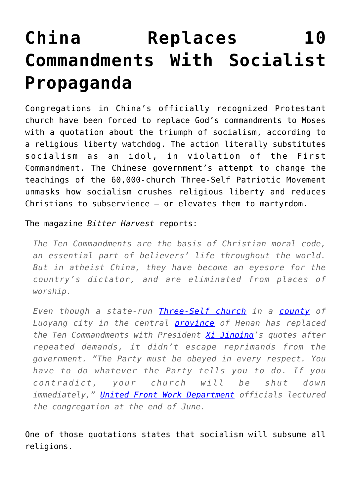## **[China Replaces 10](https://intellectualtakeout.org/2019/09/china-replaces-10-commandments-with-socialist-propaganda/) [Commandments With Socialist](https://intellectualtakeout.org/2019/09/china-replaces-10-commandments-with-socialist-propaganda/) [Propaganda](https://intellectualtakeout.org/2019/09/china-replaces-10-commandments-with-socialist-propaganda/)**

Congregations in China's officially recognized Protestant church have been forced to replace God's commandments to Moses with a quotation about the triumph of socialism, according to a religious liberty watchdog. The action literally substitutes socialism as an idol, in violation of the First Commandment. The Chinese government's attempt to change the teachings of the 60,000-church Three-Self Patriotic Movement unmasks how socialism crushes religious liberty and reduces Christians to subservience – or elevates them to martyrdom.

The magazine *Bitter Harvest* reports:

*The Ten Commandments are the basis of Christian moral code, an essential part of believers' life throughout the world. But in atheist China, they have become an eyesore for the country's dictator, and are eliminated from places of worship.*

*Even though a state-run [Three-Self church](https://bitterwinter.org/Vocabulary/three-self-church-2/) in a [county](https://bitterwinter.org/Vocabulary/county/) of Luoyang city in the central [province](https://bitterwinter.org/Vocabulary/province/) of Henan has replaced the Ten Commandments with President [Xi Jinping'](https://bitterwinter.org/Vocabulary/xi-jinping/)s quotes after repeated demands, it didn't escape reprimands from the government. "The Party must be obeyed in every respect. You have to do whatever the Party tells you to do. If you contradict, your church will be shut down immediately," [United Front Work Department](https://bitterwinter.org/Vocabulary/united-front-work-department/) officials lectured the congregation at the end of June.*

One of those quotations states that socialism will subsume all religions.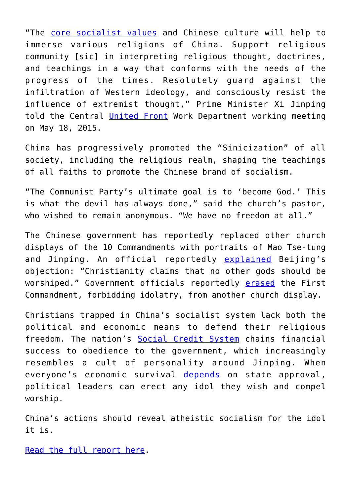"The [core socialist values](https://bitterwinter.org/Vocabulary/core-socialist-values/) and Chinese culture will help to immerse various religions of China. Support religious community [sic] in interpreting religious thought, doctrines, and teachings in a way that conforms with the needs of the progress of the times. Resolutely guard against the infiltration of Western ideology, and consciously resist the influence of extremist thought," Prime Minister Xi Jinping told the Central [United Front](https://bitterwinter.org/Vocabulary/united-front/) Work Department working meeting on May 18, 2015.

China has progressively promoted the "Sinicization" of all society, including the religious realm, shaping the teachings of all faiths to promote the Chinese brand of socialism.

"The Communist Party's ultimate goal is to 'become God.' This is what the devil has always done," said the church's pastor, who wished to remain anonymous. "We have no freedom at all."

The Chinese government has reportedly replaced other church displays of the 10 Commandments with portraits of Mao Tse-tung and Jinping. An official reportedly [explained](https://bitterwinter.org/ccps-fear-of-the-ten-commandments/) Beijing's objection: "Christianity claims that no other gods should be worshiped." Government officials reportedly [erased](https://bitterwinter.org/moses-delivers-only-nine-commandments/) the First Commandment, forbidding idolatry, from another church display.

Christians trapped in China's socialist system lack both the political and economic means to defend their religious freedom. The nation's [Social Credit System](https://blog.acton.org/archives/98712-chinas-social-credit-system-when-dystopian-fiction-becomes-reality.html) chains financial success to obedience to the government, which increasingly resembles a cult of personality around Jinping. When everyone's economic survival [depends](https://blog.acton.org/archives/101251-gods-power-can-be-outsourced-to-the-government-study.html) on state approval, political leaders can erect any idol they wish and compel worship.

China's actions should reveal atheistic socialism for the idol it is.

[Read the full report here.](https://bitterwinter.org/xi-jinpings-quotes-replace-the-ten-commandments/)